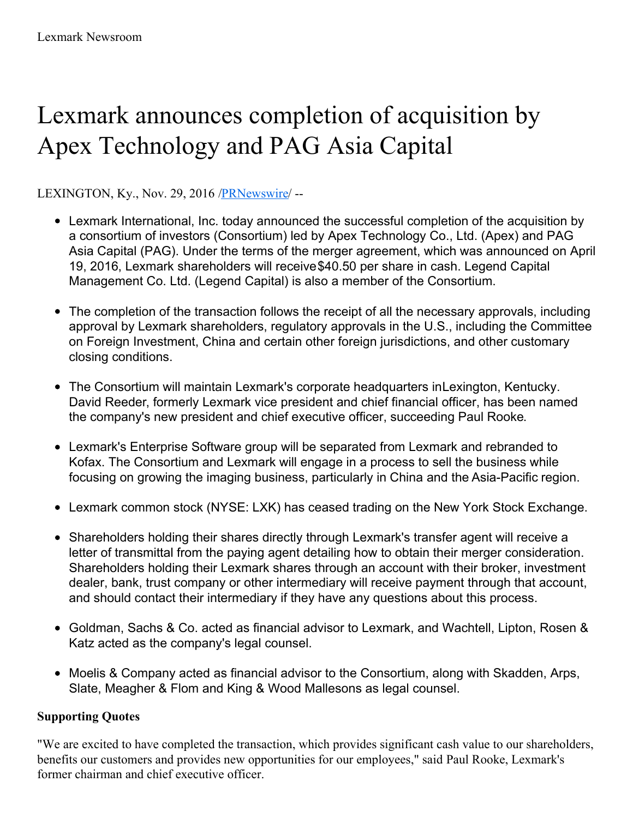# Lexmark announces completion of acquisition by Apex Technology and PAG Asia Capital

LEXINGTON, Ky., Nov. 29, 2016 [/PRNewswire](http://www.prnewswire.com/)/ --

- Lexmark International, Inc. today announced the successful completion of the acquisition by a consortium of investors (Consortium) led by Apex Technology Co., Ltd. (Apex) and PAG Asia Capital (PAG). Under the terms of the merger agreement, which was announced on April 19, 2016, Lexmark shareholders will receive\$40.50 per share in cash. Legend Capital Management Co. Ltd. (Legend Capital) is also a member of the Consortium.
- The completion of the transaction follows the receipt of all the necessary approvals, including approval by Lexmark shareholders, regulatory approvals in the U.S., including the Committee on Foreign Investment, China and certain other foreign jurisdictions, and other customary closing conditions.
- The Consortium will maintain Lexmark's corporate headquarters inLexington, Kentucky. David Reeder, formerly Lexmark vice president and chief financial officer, has been named the company's new president and chief executive officer, succeeding Paul Rooke.
- Lexmark's Enterprise Software group will be separated from Lexmark and rebranded to Kofax. The Consortium and Lexmark will engage in a process to sell the business while focusing on growing the imaging business, particularly in China and the Asia-Pacific region.
- Lexmark common stock (NYSE: LXK) has ceased trading on the New York Stock Exchange.
- Shareholders holding their shares directly through Lexmark's transfer agent will receive a letter of transmittal from the paying agent detailing how to obtain their merger consideration. Shareholders holding their Lexmark shares through an account with their broker, investment dealer, bank, trust company or other intermediary will receive payment through that account, and should contact their intermediary if they have any questions about this process.
- Goldman, Sachs & Co. acted as financial advisor to Lexmark, and Wachtell, Lipton, Rosen & Katz acted as the company's legal counsel.
- Moelis & Company acted as financial advisor to the Consortium, along with Skadden, Arps, Slate, Meagher & Flom and King & Wood Mallesons as legal counsel.

### **Supporting Quotes**

"We are excited to have completed the transaction, which provides significant cash value to our shareholders, benefits our customers and provides new opportunities for our employees," said Paul Rooke, Lexmark's former chairman and chief executive officer.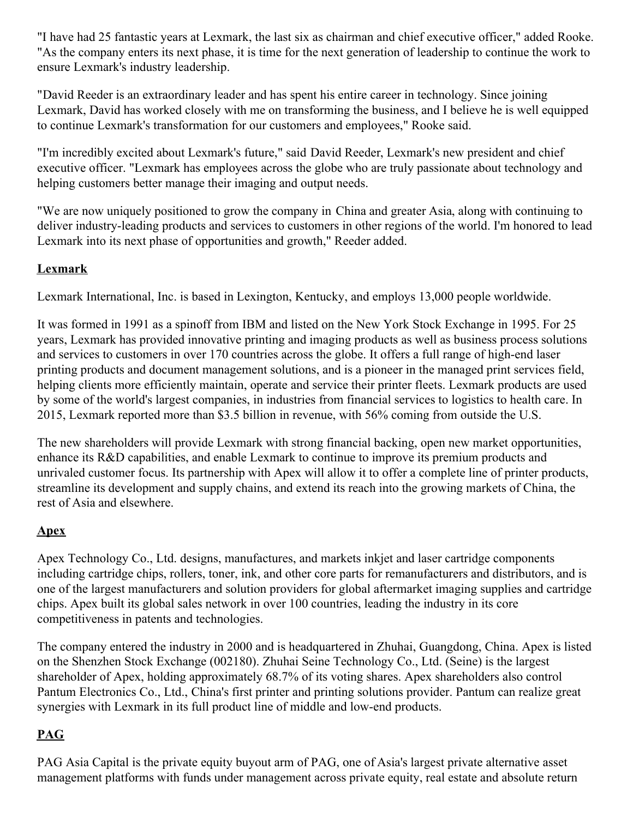"I have had 25 fantastic years at Lexmark, the last six as chairman and chief executive officer," added Rooke. "As the company enters its next phase, it is time for the next generation of leadership to continue the work to ensure Lexmark's industry leadership.

"David Reeder is an extraordinary leader and has spent his entire career in technology. Since joining Lexmark, David has worked closely with me on transforming the business, and I believe he is well equipped to continue Lexmark's transformation for our customers and employees," Rooke said.

"I'm incredibly excited about Lexmark's future," said David Reeder, Lexmark's new president and chief executive officer. "Lexmark has employees across the globe who are truly passionate about technology and helping customers better manage their imaging and output needs.

"We are now uniquely positioned to grow the company in China and greater Asia, along with continuing to deliver industry-leading products and services to customers in other regions of the world. I'm honored to lead Lexmark into its next phase of opportunities and growth," Reeder added.

#### **Lexmark**

Lexmark International, Inc. is based in Lexington, Kentucky, and employs 13,000 people worldwide.

It was formed in 1991 as a spinoff from IBM and listed on the New York Stock Exchange in 1995. For 25 years, Lexmark has provided innovative printing and imaging products as well as business process solutions and services to customers in over 170 countries across the globe. It offers a full range of high-end laser printing products and document management solutions, and is a pioneer in the managed print services field, helping clients more efficiently maintain, operate and service their printer fleets. Lexmark products are used by some of the world's largest companies, in industries from financial services to logistics to health care. In 2015, Lexmark reported more than \$3.5 billion in revenue, with 56% coming from outside the U.S.

The new shareholders will provide Lexmark with strong financial backing, open new market opportunities, enhance its R&D capabilities, and enable Lexmark to continue to improve its premium products and unrivaled customer focus. Its partnership with Apex will allow it to offer a complete line of printer products, streamline its development and supply chains, and extend its reach into the growing markets of China, the rest of Asia and elsewhere.

### **Apex**

Apex Technology Co., Ltd. designs, manufactures, and markets inkjet and laser cartridge components including cartridge chips, rollers, toner, ink, and other core parts for remanufacturers and distributors, and is one of the largest manufacturers and solution providers for global aftermarket imaging supplies and cartridge chips. Apex built its global sales network in over 100 countries, leading the industry in its core competitiveness in patents and technologies.

The company entered the industry in 2000 and is headquartered in Zhuhai, Guangdong, China. Apex is listed on the Shenzhen Stock Exchange (002180). Zhuhai Seine Technology Co., Ltd. (Seine) is the largest shareholder of Apex, holding approximately 68.7% of its voting shares. Apex shareholders also control Pantum Electronics Co., Ltd., China's first printer and printing solutions provider. Pantum can realize great synergies with Lexmark in its full product line of middle and low-end products.

## **PAG**

PAG Asia Capital is the private equity buyout arm of PAG, one of Asia's largest private alternative asset management platforms with funds under management across private equity, real estate and absolute return